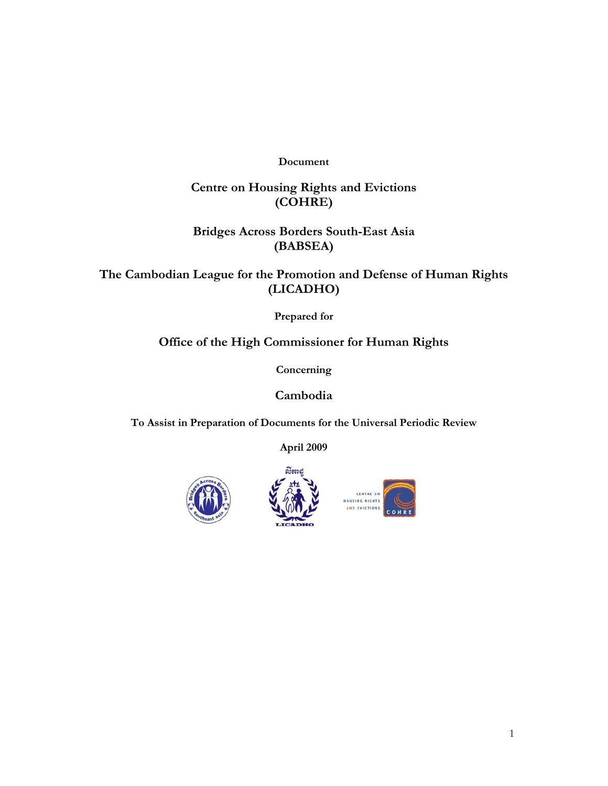**Document** 

## **Centre on Housing Rights and Evictions (COHRE)**

## **Bridges Across Borders South-East Asia (BABSEA)**

**The Cambodian League for the Promotion and Defense of Human Rights (LICADHO)** 

**Prepared for** 

## **Office of the High Commissioner for Human Rights**

**Concerning** 

**Cambodia** 

**To Assist in Preparation of Documents for the Universal Periodic Review** 

**April 2009** 





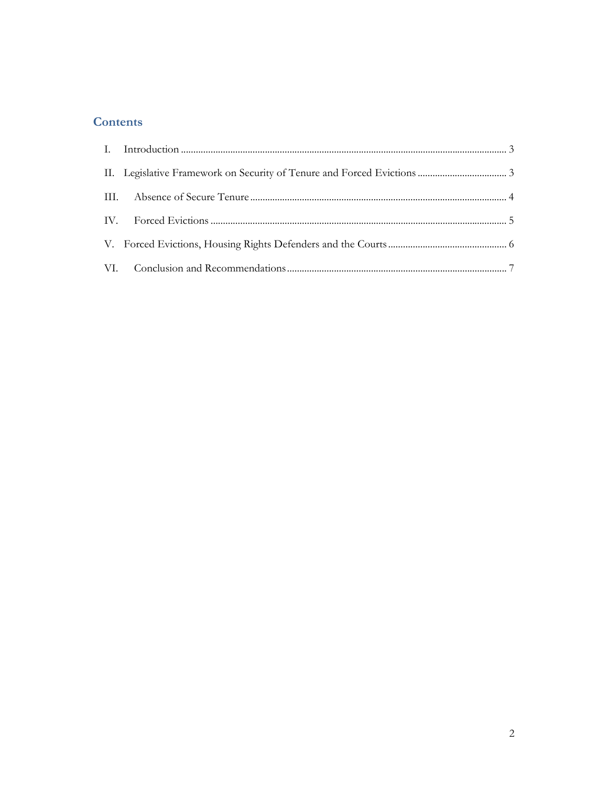# **Contents**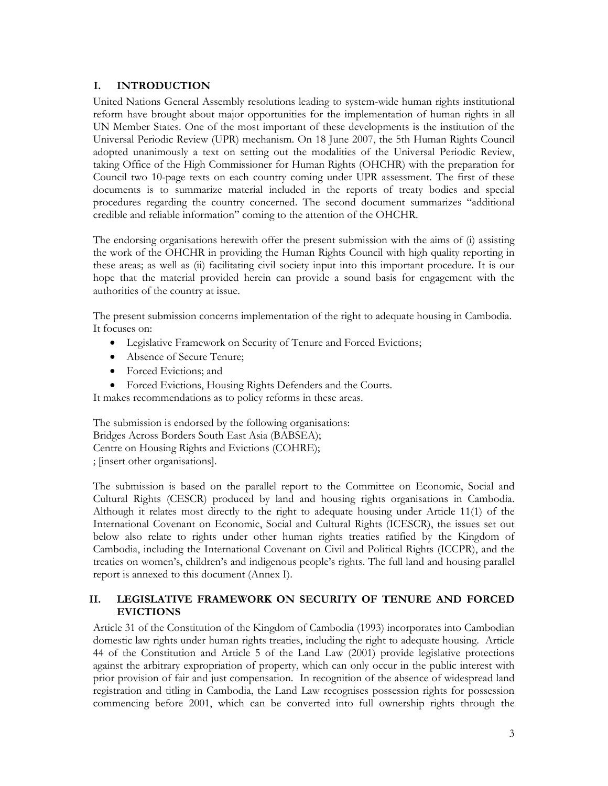#### **I. INTRODUCTION**

United Nations General Assembly resolutions leading to system-wide human rights institutional reform have brought about major opportunities for the implementation of human rights in all UN Member States. One of the most important of these developments is the institution of the Universal Periodic Review (UPR) mechanism. On 18 June 2007, the 5th Human Rights Council adopted unanimously a text on setting out the modalities of the Universal Periodic Review, taking Office of the High Commissioner for Human Rights (OHCHR) with the preparation for Council two 10-page texts on each country coming under UPR assessment. The first of these documents is to summarize material included in the reports of treaty bodies and special procedures regarding the country concerned. The second document summarizes "additional credible and reliable information" coming to the attention of the OHCHR.

The endorsing organisations herewith offer the present submission with the aims of (i) assisting the work of the OHCHR in providing the Human Rights Council with high quality reporting in these areas; as well as (ii) facilitating civil society input into this important procedure. It is our hope that the material provided herein can provide a sound basis for engagement with the authorities of the country at issue.

The present submission concerns implementation of the right to adequate housing in Cambodia. It focuses on:

- Legislative Framework on Security of Tenure and Forced Evictions;
- Absence of Secure Tenure;
- Forced Evictions; and
- Forced Evictions, Housing Rights Defenders and the Courts.

It makes recommendations as to policy reforms in these areas.

The submission is endorsed by the following organisations: Bridges Across Borders South East Asia (BABSEA); Centre on Housing Rights and Evictions (COHRE); ; [insert other organisations].

The submission is based on the parallel report to the Committee on Economic, Social and Cultural Rights (CESCR) produced by land and housing rights organisations in Cambodia. Although it relates most directly to the right to adequate housing under Article 11(1) of the International Covenant on Economic, Social and Cultural Rights (ICESCR), the issues set out below also relate to rights under other human rights treaties ratified by the Kingdom of Cambodia, including the International Covenant on Civil and Political Rights (ICCPR), and the treaties on women's, children's and indigenous people's rights. The full land and housing parallel report is annexed to this document (Annex I).

#### **II. LEGISLATIVE FRAMEWORK ON SECURITY OF TENURE AND FORCED EVICTIONS**

Article 31 of the Constitution of the Kingdom of Cambodia (1993) incorporates into Cambodian domestic law rights under human rights treaties, including the right to adequate housing. Article 44 of the Constitution and Article 5 of the Land Law (2001) provide legislative protections against the arbitrary expropriation of property, which can only occur in the public interest with prior provision of fair and just compensation. In recognition of the absence of widespread land registration and titling in Cambodia, the Land Law recognises possession rights for possession commencing before 2001, which can be converted into full ownership rights through the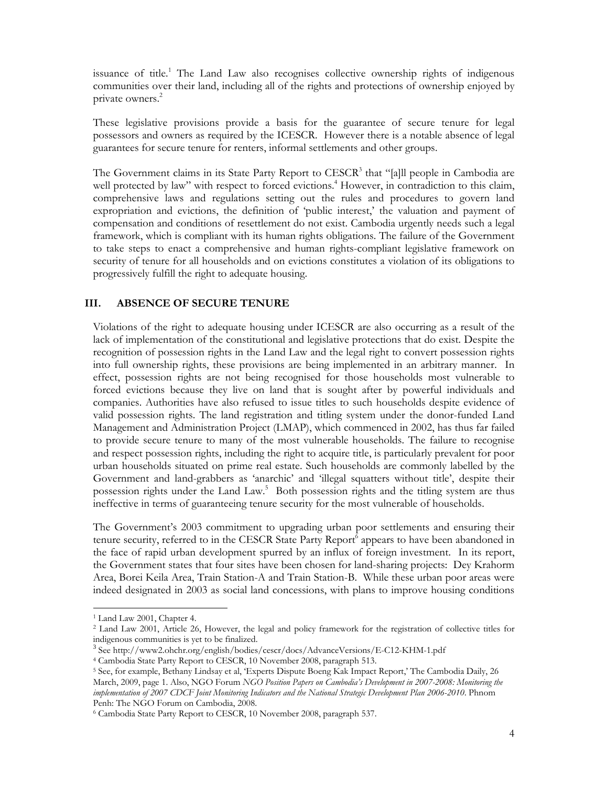issuance of title.<sup>1</sup> The Land Law also recognises collective ownership rights of indigenous communities over their land, including all of the rights and protections of ownership enjoyed by private owners.<sup>2</sup>

These legislative provisions provide a basis for the guarantee of secure tenure for legal possessors and owners as required by the ICESCR. However there is a notable absence of legal guarantees for secure tenure for renters, informal settlements and other groups.

The Government claims in its State Party Report to CESCR<sup>3</sup> that "[a]ll people in Cambodia are well protected by law" with respect to forced evictions.<sup>4</sup> However, in contradiction to this claim, comprehensive laws and regulations setting out the rules and procedures to govern land expropriation and evictions, the definition of 'public interest,' the valuation and payment of compensation and conditions of resettlement do not exist. Cambodia urgently needs such a legal framework, which is compliant with its human rights obligations. The failure of the Government to take steps to enact a comprehensive and human rights-compliant legislative framework on security of tenure for all households and on evictions constitutes a violation of its obligations to progressively fulfill the right to adequate housing.

#### **III. ABSENCE OF SECURE TENURE**

Violations of the right to adequate housing under ICESCR are also occurring as a result of the lack of implementation of the constitutional and legislative protections that do exist. Despite the recognition of possession rights in the Land Law and the legal right to convert possession rights into full ownership rights, these provisions are being implemented in an arbitrary manner. In effect, possession rights are not being recognised for those households most vulnerable to forced evictions because they live on land that is sought after by powerful individuals and companies. Authorities have also refused to issue titles to such households despite evidence of valid possession rights. The land registration and titling system under the donor-funded Land Management and Administration Project (LMAP), which commenced in 2002, has thus far failed to provide secure tenure to many of the most vulnerable households. The failure to recognise and respect possession rights, including the right to acquire title, is particularly prevalent for poor urban households situated on prime real estate. Such households are commonly labelled by the Government and land-grabbers as 'anarchic' and 'illegal squatters without title', despite their possession rights under the Land Law.<sup>5</sup> Both possession rights and the titling system are thus ineffective in terms of guaranteeing tenure security for the most vulnerable of households.

The Government's 2003 commitment to upgrading urban poor settlements and ensuring their tenure security, referred to in the CESCR State Party Report<sup>6</sup> appears to have been abandoned in the face of rapid urban development spurred by an influx of foreign investment. In its report, the Government states that four sites have been chosen for land-sharing projects: Dey Krahorm Area, Borei Keila Area, Train Station-A and Train Station-B. While these urban poor areas were indeed designated in 2003 as social land concessions, with plans to improve housing conditions

-

<sup>1</sup> Land Law 2001, Chapter 4.

<sup>2</sup> Land Law 2001, Article 26, However, the legal and policy framework for the registration of collective titles for indigenous communities is yet to be finalized.

<sup>&</sup>lt;sup>3</sup> See http://www2.ohchr.org/english/bodies/cescr/docs/AdvanceVersions/E-C12-KHM-1.pdf<br><sup>4</sup> Cambodia State Party Report to CESCR, 10 November 2008, paragraph 513.<br><sup>5</sup> See, for example, Bethany Lindsay et al, 'Experts Dispu March, 2009, page 1. Also, NGO Forum *NGO Position Papers on Cambodia's Development in 2007-2008: Monitoring the implementation of 2007 CDCF Joint Monitoring Indicators and the National Strategic Development Plan 2006-2010*. Phnom Penh: The NGO Forum on Cambodia, 2008.

<sup>6</sup> Cambodia State Party Report to CESCR, 10 November 2008, paragraph 537.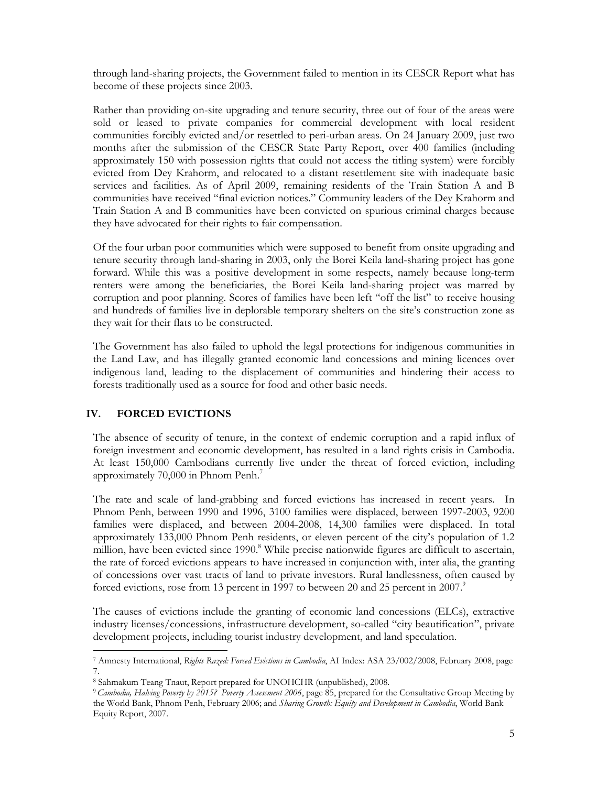through land-sharing projects, the Government failed to mention in its CESCR Report what has become of these projects since 2003.

Rather than providing on-site upgrading and tenure security, three out of four of the areas were sold or leased to private companies for commercial development with local resident communities forcibly evicted and/or resettled to peri-urban areas. On 24 January 2009, just two months after the submission of the CESCR State Party Report, over 400 families (including approximately 150 with possession rights that could not access the titling system) were forcibly evicted from Dey Krahorm, and relocated to a distant resettlement site with inadequate basic services and facilities. As of April 2009, remaining residents of the Train Station A and B communities have received "final eviction notices." Community leaders of the Dey Krahorm and Train Station A and B communities have been convicted on spurious criminal charges because they have advocated for their rights to fair compensation.

Of the four urban poor communities which were supposed to benefit from onsite upgrading and tenure security through land-sharing in 2003, only the Borei Keila land-sharing project has gone forward. While this was a positive development in some respects, namely because long-term renters were among the beneficiaries, the Borei Keila land-sharing project was marred by corruption and poor planning. Scores of families have been left "off the list" to receive housing and hundreds of families live in deplorable temporary shelters on the site's construction zone as they wait for their flats to be constructed.

The Government has also failed to uphold the legal protections for indigenous communities in the Land Law, and has illegally granted economic land concessions and mining licences over indigenous land, leading to the displacement of communities and hindering their access to forests traditionally used as a source for food and other basic needs.

#### **IV. FORCED EVICTIONS**

-

The absence of security of tenure, in the context of endemic corruption and a rapid influx of foreign investment and economic development, has resulted in a land rights crisis in Cambodia. At least 150,000 Cambodians currently live under the threat of forced eviction, including approximately 70,000 in Phnom Penh.7

The rate and scale of land-grabbing and forced evictions has increased in recent years. In Phnom Penh, between 1990 and 1996, 3100 families were displaced, between 1997-2003, 9200 families were displaced, and between 2004-2008, 14,300 families were displaced. In total approximately 133,000 Phnom Penh residents, or eleven percent of the city's population of 1.2 million, have been evicted since 1990.<sup>8</sup> While precise nationwide figures are difficult to ascertain, the rate of forced evictions appears to have increased in conjunction with, inter alia, the granting of concessions over vast tracts of land to private investors. Rural landlessness, often caused by forced evictions, rose from 13 percent in 1997 to between 20 and 25 percent in 2007.<sup>9</sup>

The causes of evictions include the granting of economic land concessions (ELCs), extractive industry licenses/concessions, infrastructure development, so-called "city beautification", private development projects, including tourist industry development, and land speculation.

<sup>7</sup> Amnesty International, *Rights Razed: Forced Evictions in Cambodia*, AI Index: ASA 23/002/2008, February 2008, page 7.

<sup>8</sup> Sahmakum Teang Tnaut, Report prepared for UNOHCHR (unpublished), 2008.

<sup>9</sup>*Cambodia, Halving Poverty by 2015? Poverty Assessment 2006*, page 85, prepared for the Consultative Group Meeting by the World Bank, Phnom Penh, February 2006; and *Sharing Growth: Equity and Development in Cambodia*, World Bank Equity Report, 2007.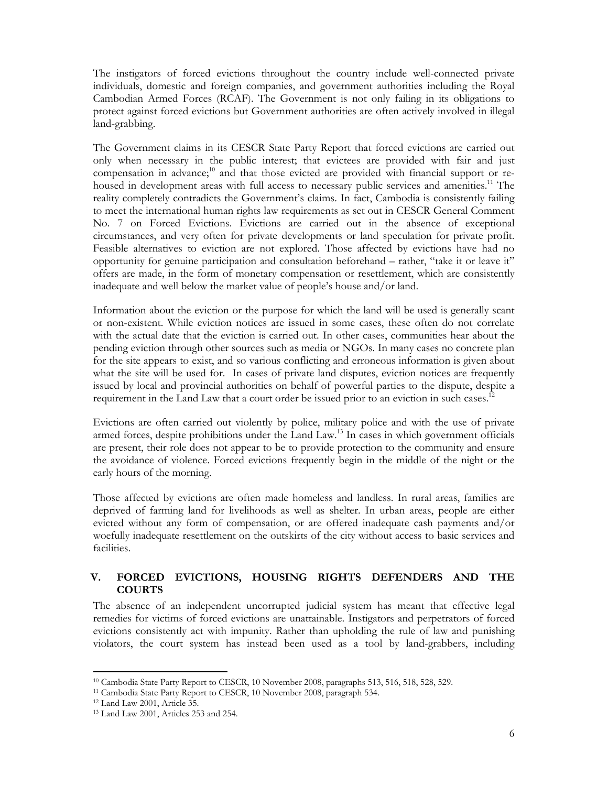The instigators of forced evictions throughout the country include well-connected private individuals, domestic and foreign companies, and government authorities including the Royal Cambodian Armed Forces (RCAF). The Government is not only failing in its obligations to protect against forced evictions but Government authorities are often actively involved in illegal land-grabbing.

The Government claims in its CESCR State Party Report that forced evictions are carried out only when necessary in the public interest; that evictees are provided with fair and just compensation in advance;<sup>10</sup> and that those evicted are provided with financial support or rehoused in development areas with full access to necessary public services and amenities.<sup>11</sup> The reality completely contradicts the Government's claims. In fact, Cambodia is consistently failing to meet the international human rights law requirements as set out in CESCR General Comment No. 7 on Forced Evictions. Evictions are carried out in the absence of exceptional circumstances, and very often for private developments or land speculation for private profit. Feasible alternatives to eviction are not explored. Those affected by evictions have had no opportunity for genuine participation and consultation beforehand – rather, "take it or leave it" offers are made, in the form of monetary compensation or resettlement, which are consistently inadequate and well below the market value of people's house and/or land.

Information about the eviction or the purpose for which the land will be used is generally scant or non-existent. While eviction notices are issued in some cases, these often do not correlate with the actual date that the eviction is carried out. In other cases, communities hear about the pending eviction through other sources such as media or NGOs. In many cases no concrete plan for the site appears to exist, and so various conflicting and erroneous information is given about what the site will be used for. In cases of private land disputes, eviction notices are frequently issued by local and provincial authorities on behalf of powerful parties to the dispute, despite a requirement in the Land Law that a court order be issued prior to an eviction in such cases.<sup>12</sup>

Evictions are often carried out violently by police, military police and with the use of private armed forces, despite prohibitions under the Land Law.<sup>13</sup> In cases in which government officials are present, their role does not appear to be to provide protection to the community and ensure the avoidance of violence. Forced evictions frequently begin in the middle of the night or the early hours of the morning.

Those affected by evictions are often made homeless and landless. In rural areas, families are deprived of farming land for livelihoods as well as shelter. In urban areas, people are either evicted without any form of compensation, or are offered inadequate cash payments and/or woefully inadequate resettlement on the outskirts of the city without access to basic services and facilities.

#### **V. FORCED EVICTIONS, HOUSING RIGHTS DEFENDERS AND THE COURTS**

The absence of an independent uncorrupted judicial system has meant that effective legal remedies for victims of forced evictions are unattainable. Instigators and perpetrators of forced evictions consistently act with impunity. Rather than upholding the rule of law and punishing violators, the court system has instead been used as a tool by land-grabbers, including

-

<sup>&</sup>lt;sup>10</sup> Cambodia State Party Report to CESCR, 10 November 2008, paragraphs 513, 516, 518, 528, 529. <sup>11</sup> Cambodia State Party Report to CESCR, 10 November 2008, paragraph 534. <sup>12</sup> Land Law 2001, Article 35.

<sup>13</sup> Land Law 2001, Articles 253 and 254.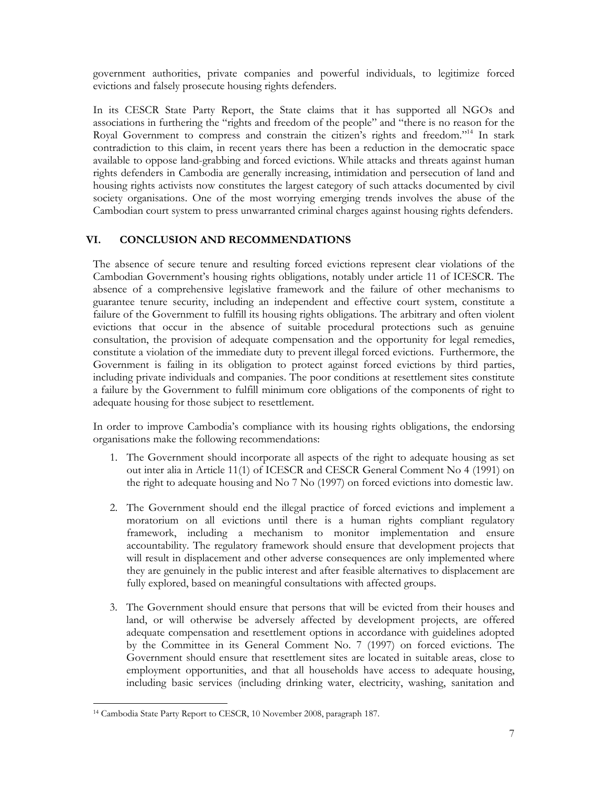government authorities, private companies and powerful individuals, to legitimize forced evictions and falsely prosecute housing rights defenders.

In its CESCR State Party Report, the State claims that it has supported all NGOs and associations in furthering the "rights and freedom of the people" and "there is no reason for the Royal Government to compress and constrain the citizen's rights and freedom."14 In stark contradiction to this claim, in recent years there has been a reduction in the democratic space available to oppose land-grabbing and forced evictions. While attacks and threats against human rights defenders in Cambodia are generally increasing, intimidation and persecution of land and housing rights activists now constitutes the largest category of such attacks documented by civil society organisations. One of the most worrying emerging trends involves the abuse of the Cambodian court system to press unwarranted criminal charges against housing rights defenders.

### **VI. CONCLUSION AND RECOMMENDATIONS**

The absence of secure tenure and resulting forced evictions represent clear violations of the Cambodian Government's housing rights obligations, notably under article 11 of ICESCR. The absence of a comprehensive legislative framework and the failure of other mechanisms to guarantee tenure security, including an independent and effective court system, constitute a failure of the Government to fulfill its housing rights obligations. The arbitrary and often violent evictions that occur in the absence of suitable procedural protections such as genuine consultation, the provision of adequate compensation and the opportunity for legal remedies, constitute a violation of the immediate duty to prevent illegal forced evictions. Furthermore, the Government is failing in its obligation to protect against forced evictions by third parties, including private individuals and companies. The poor conditions at resettlement sites constitute a failure by the Government to fulfill minimum core obligations of the components of right to adequate housing for those subject to resettlement.

In order to improve Cambodia's compliance with its housing rights obligations, the endorsing organisations make the following recommendations:

- 1. The Government should incorporate all aspects of the right to adequate housing as set out inter alia in Article 11(1) of ICESCR and CESCR General Comment No 4 (1991) on the right to adequate housing and No 7 No (1997) on forced evictions into domestic law.
- 2. The Government should end the illegal practice of forced evictions and implement a moratorium on all evictions until there is a human rights compliant regulatory framework, including a mechanism to monitor implementation and ensure accountability. The regulatory framework should ensure that development projects that will result in displacement and other adverse consequences are only implemented where they are genuinely in the public interest and after feasible alternatives to displacement are fully explored, based on meaningful consultations with affected groups.
- 3. The Government should ensure that persons that will be evicted from their houses and land, or will otherwise be adversely affected by development projects, are offered adequate compensation and resettlement options in accordance with guidelines adopted by the Committee in its General Comment No. 7 (1997) on forced evictions. The Government should ensure that resettlement sites are located in suitable areas, close to employment opportunities, and that all households have access to adequate housing, including basic services (including drinking water, electricity, washing, sanitation and

<sup>-</sup>14 Cambodia State Party Report to CESCR, 10 November 2008, paragraph 187.